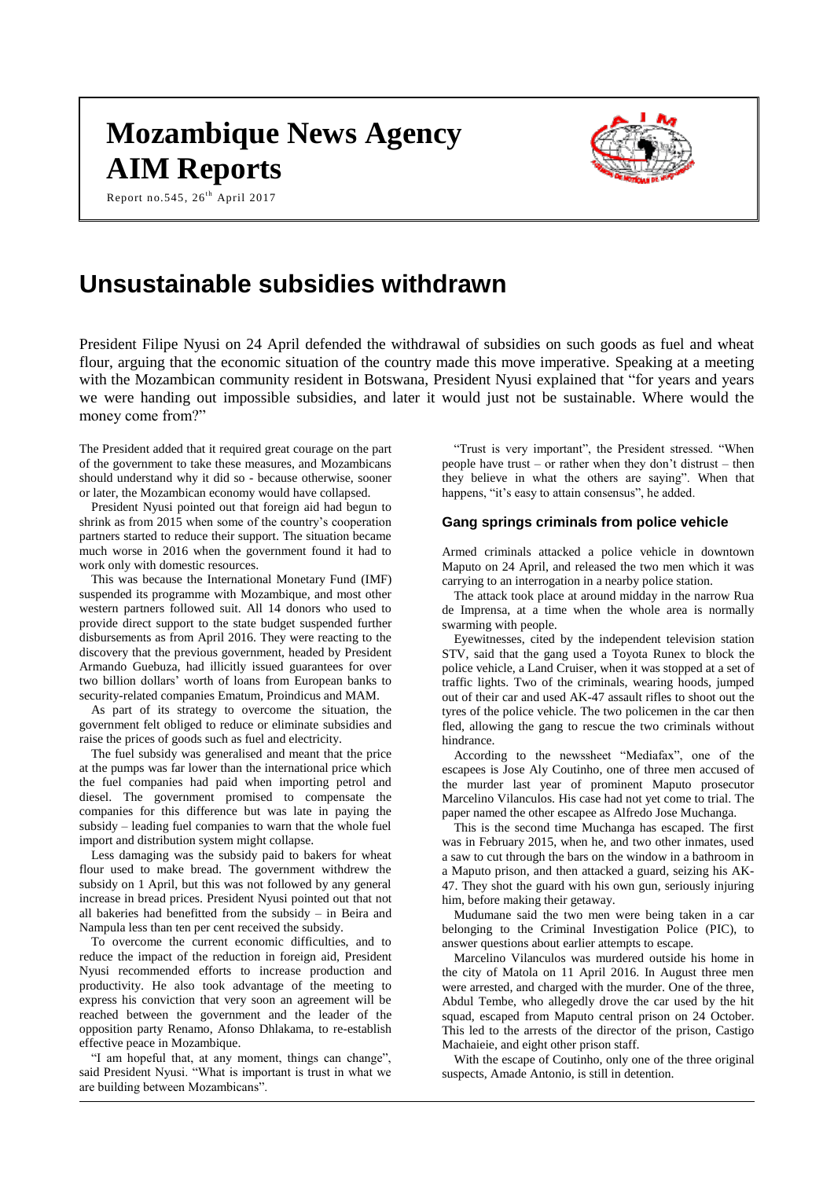# **Mozambique News Agency AIM Reports**



Report no.545,  $26^{th}$  April 2017

# **Unsustainable subsidies withdrawn**

President Filipe Nyusi on 24 April defended the withdrawal of subsidies on such goods as fuel and wheat flour, arguing that the economic situation of the country made this move imperative. Speaking at a meeting with the Mozambican community resident in Botswana, President Nyusi explained that "for years and years we were handing out impossible subsidies, and later it would just not be sustainable. Where would the money come from?"

The President added that it required great courage on the part of the government to take these measures, and Mozambicans should understand why it did so - because otherwise, sooner or later, the Mozambican economy would have collapsed.

President Nyusi pointed out that foreign aid had begun to shrink as from 2015 when some of the country's cooperation partners started to reduce their support. The situation became much worse in 2016 when the government found it had to work only with domestic resources.

This was because the International Monetary Fund (IMF) suspended its programme with Mozambique, and most other western partners followed suit. All 14 donors who used to provide direct support to the state budget suspended further disbursements as from April 2016. They were reacting to the discovery that the previous government, headed by President Armando Guebuza, had illicitly issued guarantees for over two billion dollars' worth of loans from European banks to security-related companies Ematum, Proindicus and MAM.

As part of its strategy to overcome the situation, the government felt obliged to reduce or eliminate subsidies and raise the prices of goods such as fuel and electricity.

The fuel subsidy was generalised and meant that the price at the pumps was far lower than the international price which the fuel companies had paid when importing petrol and diesel. The government promised to compensate the companies for this difference but was late in paying the subsidy – leading fuel companies to warn that the whole fuel import and distribution system might collapse.

Less damaging was the subsidy paid to bakers for wheat flour used to make bread. The government withdrew the subsidy on 1 April, but this was not followed by any general increase in bread prices. President Nyusi pointed out that not all bakeries had benefitted from the subsidy – in Beira and Nampula less than ten per cent received the subsidy.

To overcome the current economic difficulties, and to reduce the impact of the reduction in foreign aid, President Nyusi recommended efforts to increase production and productivity. He also took advantage of the meeting to express his conviction that very soon an agreement will be reached between the government and the leader of the opposition party Renamo, Afonso Dhlakama, to re-establish effective peace in Mozambique.

"I am hopeful that, at any moment, things can change", said President Nyusi. "What is important is trust in what we are building between Mozambicans".

"Trust is very important", the President stressed. "When people have trust – or rather when they don't distrust – then they believe in what the others are saying". When that happens, "it's easy to attain consensus", he added.

#### **Gang springs criminals from police vehicle**

Armed criminals attacked a police vehicle in downtown Maputo on 24 April, and released the two men which it was carrying to an interrogation in a nearby police station.

The attack took place at around midday in the narrow Rua de Imprensa, at a time when the whole area is normally swarming with people.

Eyewitnesses, cited by the independent television station STV, said that the gang used a Toyota Runex to block the police vehicle, a Land Cruiser, when it was stopped at a set of traffic lights. Two of the criminals, wearing hoods, jumped out of their car and used AK-47 assault rifles to shoot out the tyres of the police vehicle. The two policemen in the car then fled, allowing the gang to rescue the two criminals without hindrance.

According to the newssheet "Mediafax", one of the escapees is Jose Aly Coutinho, one of three men accused of the murder last year of prominent Maputo prosecutor Marcelino Vilanculos. His case had not yet come to trial. The paper named the other escapee as Alfredo Jose Muchanga.

This is the second time Muchanga has escaped. The first was in February 2015, when he, and two other inmates, used a saw to cut through the bars on the window in a bathroom in a Maputo prison, and then attacked a guard, seizing his AK-47. They shot the guard with his own gun, seriously injuring him, before making their getaway.

Mudumane said the two men were being taken in a car belonging to the Criminal Investigation Police (PIC), to answer questions about earlier attempts to escape.

Marcelino Vilanculos was murdered outside his home in the city of Matola on 11 April 2016. In August three men were arrested, and charged with the murder. One of the three, Abdul Tembe, who allegedly drove the car used by the hit squad, escaped from Maputo central prison on 24 October. This led to the arrests of the director of the prison, Castigo Machaieie, and eight other prison staff.

With the escape of Coutinho, only one of the three original suspects, Amade Antonio, is still in detention.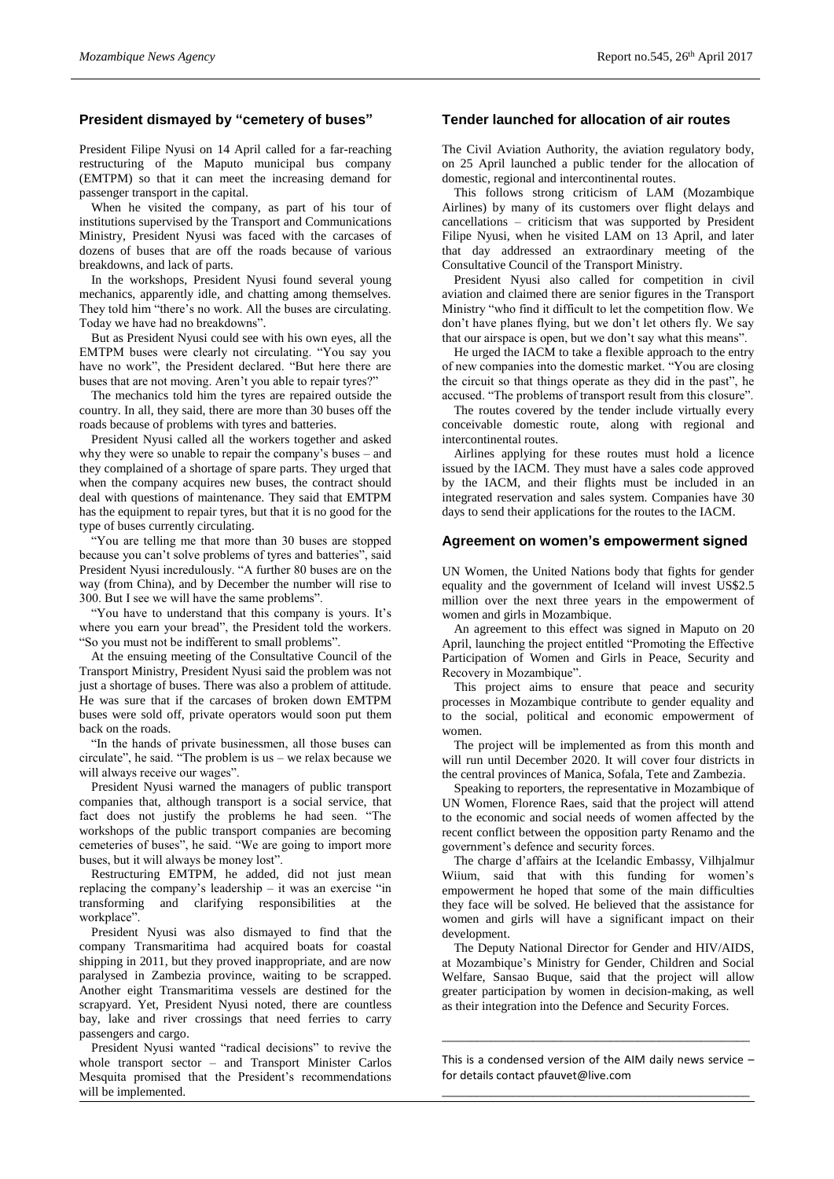# **President dismayed by "cemetery of buses"**

President Filipe Nyusi on 14 April called for a far-reaching restructuring of the Maputo municipal bus company (EMTPM) so that it can meet the increasing demand for passenger transport in the capital.

When he visited the company, as part of his tour of institutions supervised by the Transport and Communications Ministry, President Nyusi was faced with the carcases of dozens of buses that are off the roads because of various breakdowns, and lack of parts.

In the workshops, President Nyusi found several young mechanics, apparently idle, and chatting among themselves. They told him "there's no work. All the buses are circulating. Today we have had no breakdowns".

But as President Nyusi could see with his own eyes, all the EMTPM buses were clearly not circulating. "You say you have no work", the President declared. "But here there are buses that are not moving. Aren't you able to repair tyres?"

The mechanics told him the tyres are repaired outside the country. In all, they said, there are more than 30 buses off the roads because of problems with tyres and batteries.

President Nyusi called all the workers together and asked why they were so unable to repair the company's buses – and they complained of a shortage of spare parts. They urged that when the company acquires new buses, the contract should deal with questions of maintenance. They said that EMTPM has the equipment to repair tyres, but that it is no good for the type of buses currently circulating.

"You are telling me that more than 30 buses are stopped because you can't solve problems of tyres and batteries", said President Nyusi incredulously. "A further 80 buses are on the way (from China), and by December the number will rise to 300. But I see we will have the same problems".

"You have to understand that this company is yours. It's where you earn your bread", the President told the workers. "So you must not be indifferent to small problems".

At the ensuing meeting of the Consultative Council of the Transport Ministry, President Nyusi said the problem was not just a shortage of buses. There was also a problem of attitude. He was sure that if the carcases of broken down EMTPM buses were sold off, private operators would soon put them back on the roads.

"In the hands of private businessmen, all those buses can circulate", he said. "The problem is us – we relax because we will always receive our wages".

President Nyusi warned the managers of public transport companies that, although transport is a social service, that fact does not justify the problems he had seen. "The workshops of the public transport companies are becoming cemeteries of buses", he said. "We are going to import more buses, but it will always be money lost".

Restructuring EMTPM, he added, did not just mean replacing the company's leadership – it was an exercise "in transforming and clarifying responsibilities at the workplace".

President Nyusi was also dismayed to find that the company Transmaritima had acquired boats for coastal shipping in 2011, but they proved inappropriate, and are now paralysed in Zambezia province, waiting to be scrapped. Another eight Transmaritima vessels are destined for the scrapyard. Yet, President Nyusi noted, there are countless bay, lake and river crossings that need ferries to carry passengers and cargo.

President Nyusi wanted "radical decisions" to revive the whole transport sector – and Transport Minister Carlos Mesquita promised that the President's recommendations will be implemented.

#### **Tender launched for allocation of air routes**

The Civil Aviation Authority, the aviation regulatory body, on 25 April launched a public tender for the allocation of domestic, regional and intercontinental routes.

This follows strong criticism of LAM (Mozambique Airlines) by many of its customers over flight delays and cancellations – criticism that was supported by President Filipe Nyusi, when he visited LAM on 13 April, and later that day addressed an extraordinary meeting of the Consultative Council of the Transport Ministry.

President Nyusi also called for competition in civil aviation and claimed there are senior figures in the Transport Ministry "who find it difficult to let the competition flow. We don't have planes flying, but we don't let others fly. We say that our airspace is open, but we don't say what this means".

He urged the IACM to take a flexible approach to the entry of new companies into the domestic market. "You are closing the circuit so that things operate as they did in the past", he accused. "The problems of transport result from this closure".

The routes covered by the tender include virtually every conceivable domestic route, along with regional and intercontinental routes.

Airlines applying for these routes must hold a licence issued by the IACM. They must have a sales code approved by the IACM, and their flights must be included in an integrated reservation and sales system. Companies have 30 days to send their applications for the routes to the IACM.

#### **Agreement on women's empowerment signed**

UN Women, the United Nations body that fights for gender equality and the government of Iceland will invest US\$2.5 million over the next three years in the empowerment of women and girls in Mozambique.

An agreement to this effect was signed in Maputo on 20 April, launching the project entitled "Promoting the Effective Participation of Women and Girls in Peace, Security and Recovery in Mozambique".

This project aims to ensure that peace and security processes in Mozambique contribute to gender equality and to the social, political and economic empowerment of women.

The project will be implemented as from this month and will run until December 2020. It will cover four districts in the central provinces of Manica, Sofala, Tete and Zambezia.

Speaking to reporters, the representative in Mozambique of UN Women, Florence Raes, said that the project will attend to the economic and social needs of women affected by the recent conflict between the opposition party Renamo and the government's defence and security forces.

The charge d'affairs at the Icelandic Embassy, Vilhjalmur Wiium, said that with this funding for women's empowerment he hoped that some of the main difficulties they face will be solved. He believed that the assistance for women and girls will have a significant impact on their development.

The Deputy National Director for Gender and HIV/AIDS, at Mozambique's Ministry for Gender, Children and Social Welfare, Sansao Buque, said that the project will allow greater participation by women in decision-making, as well as their integration into the Defence and Security Forces.

This is a condensed version of the AIM daily news service  $$ for details contact [pfauvet@live.com](mailto:pfauvet@live.com) \_\_\_\_\_\_\_\_\_\_\_\_\_\_\_\_\_\_\_\_\_\_\_\_\_\_\_\_\_\_\_\_\_\_\_\_\_\_\_\_\_\_\_\_

\_\_\_\_\_\_\_\_\_\_\_\_\_\_\_\_\_\_\_\_\_\_\_\_\_\_\_\_\_\_\_\_\_\_\_\_\_\_\_\_\_\_\_\_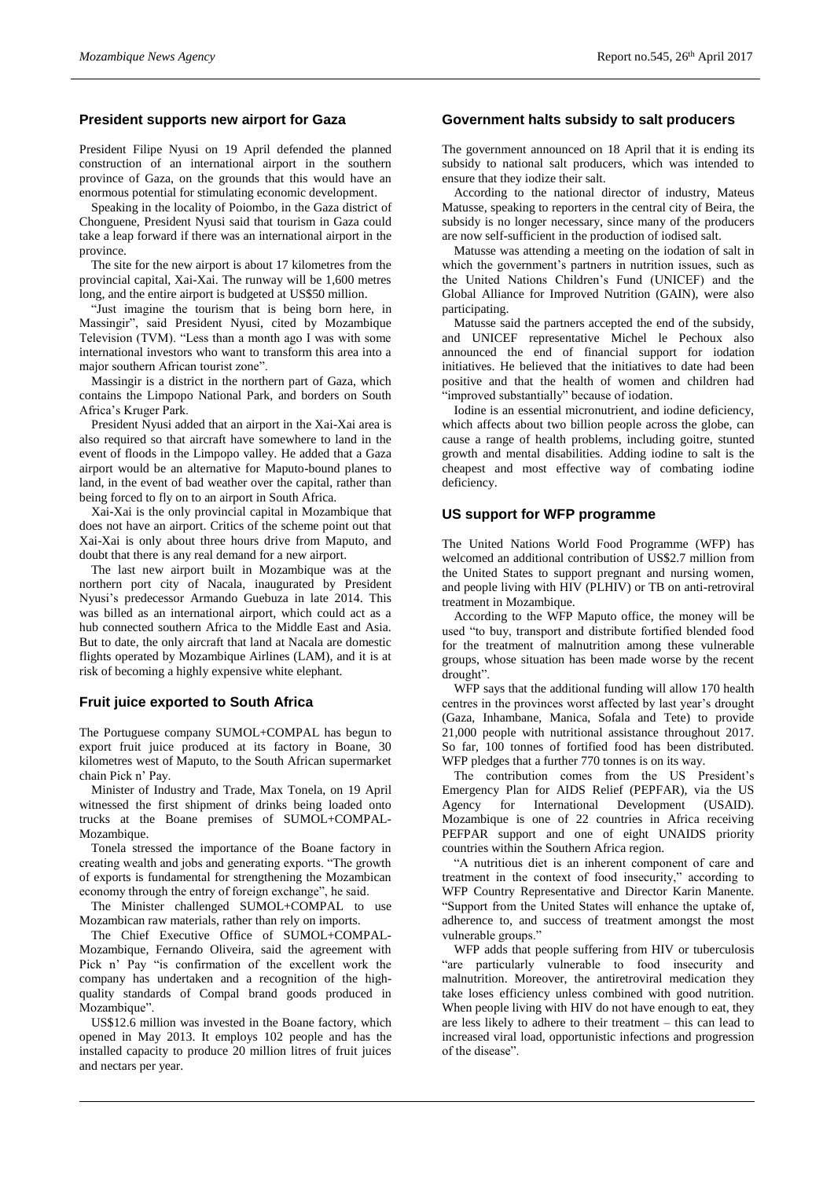# **President supports new airport for Gaza**

President Filipe Nyusi on 19 April defended the planned construction of an international airport in the southern province of Gaza, on the grounds that this would have an enormous potential for stimulating economic development.

Speaking in the locality of Poiombo, in the Gaza district of Chonguene, President Nyusi said that tourism in Gaza could take a leap forward if there was an international airport in the province.

The site for the new airport is about 17 kilometres from the provincial capital, Xai-Xai. The runway will be 1,600 metres long, and the entire airport is budgeted at US\$50 million.

"Just imagine the tourism that is being born here, in Massingir", said President Nyusi, cited by Mozambique Television (TVM). "Less than a month ago I was with some international investors who want to transform this area into a major southern African tourist zone".

Massingir is a district in the northern part of Gaza, which contains the Limpopo National Park, and borders on South Africa's Kruger Park.

President Nyusi added that an airport in the Xai-Xai area is also required so that aircraft have somewhere to land in the event of floods in the Limpopo valley. He added that a Gaza airport would be an alternative for Maputo-bound planes to land, in the event of bad weather over the capital, rather than being forced to fly on to an airport in South Africa.

Xai-Xai is the only provincial capital in Mozambique that does not have an airport. Critics of the scheme point out that Xai-Xai is only about three hours drive from Maputo, and doubt that there is any real demand for a new airport.

The last new airport built in Mozambique was at the northern port city of Nacala, inaugurated by President Nyusi's predecessor Armando Guebuza in late 2014. This was billed as an international airport, which could act as a hub connected southern Africa to the Middle East and Asia. But to date, the only aircraft that land at Nacala are domestic flights operated by Mozambique Airlines (LAM), and it is at risk of becoming a highly expensive white elephant.

# **Fruit juice exported to South Africa**

The Portuguese company SUMOL+COMPAL has begun to export fruit juice produced at its factory in Boane, 30 kilometres west of Maputo, to the South African supermarket chain Pick n' Pay.

Minister of Industry and Trade, Max Tonela, on 19 April witnessed the first shipment of drinks being loaded onto trucks at the Boane premises of SUMOL+COMPAL-Mozambique.

Tonela stressed the importance of the Boane factory in creating wealth and jobs and generating exports. "The growth of exports is fundamental for strengthening the Mozambican economy through the entry of foreign exchange", he said.

The Minister challenged SUMOL+COMPAL to use Mozambican raw materials, rather than rely on imports.

The Chief Executive Office of SUMOL+COMPAL-Mozambique, Fernando Oliveira, said the agreement with Pick n' Pay "is confirmation of the excellent work the company has undertaken and a recognition of the highquality standards of Compal brand goods produced in Mozambique".

US\$12.6 million was invested in the Boane factory, which opened in May 2013. It employs 102 people and has the installed capacity to produce 20 million litres of fruit juices and nectars per year.

# **Government halts subsidy to salt producers**

The government announced on 18 April that it is ending its subsidy to national salt producers, which was intended to ensure that they iodize their salt.

According to the national director of industry, Mateus Matusse, speaking to reporters in the central city of Beira, the subsidy is no longer necessary, since many of the producers are now self-sufficient in the production of iodised salt.

Matusse was attending a meeting on the iodation of salt in which the government's partners in nutrition issues, such as the United Nations Children's Fund (UNICEF) and the Global Alliance for Improved Nutrition (GAIN), were also participating.

Matusse said the partners accepted the end of the subsidy, and UNICEF representative Michel le Pechoux also announced the end of financial support for iodation initiatives. He believed that the initiatives to date had been positive and that the health of women and children had "improved substantially" because of iodation.

Iodine is an essential micronutrient, and iodine deficiency, which affects about two billion people across the globe, can cause a range of health problems, including goitre, stunted growth and mental disabilities. Adding iodine to salt is the cheapest and most effective way of combating iodine deficiency.

## **US support for WFP programme**

The United Nations World Food Programme (WFP) has welcomed an additional contribution of US\$2.7 million from the United States to support pregnant and nursing women, and people living with HIV (PLHIV) or TB on anti-retroviral treatment in Mozambique.

According to the WFP Maputo office, the money will be used "to buy, transport and distribute fortified blended food for the treatment of malnutrition among these vulnerable groups, whose situation has been made worse by the recent drought".

WFP says that the additional funding will allow 170 health centres in the provinces worst affected by last year's drought (Gaza, Inhambane, Manica, Sofala and Tete) to provide 21,000 people with nutritional assistance throughout 2017. So far, 100 tonnes of fortified food has been distributed. WFP pledges that a further 770 tonnes is on its way.

The contribution comes from the US President's Emergency Plan for AIDS Relief (PEPFAR), via the US Agency for International Development (USAID). Mozambique is one of 22 countries in Africa receiving PEFPAR support and one of eight UNAIDS priority countries within the Southern Africa region.

"A nutritious diet is an inherent component of care and treatment in the context of food insecurity," according to WFP Country Representative and Director Karin Manente. "Support from the United States will enhance the uptake of, adherence to, and success of treatment amongst the most vulnerable groups."

WFP adds that people suffering from HIV or tuberculosis "are particularly vulnerable to food insecurity and malnutrition. Moreover, the antiretroviral medication they take loses efficiency unless combined with good nutrition. When people living with HIV do not have enough to eat, they are less likely to adhere to their treatment – this can lead to increased viral load, opportunistic infections and progression of the disease".